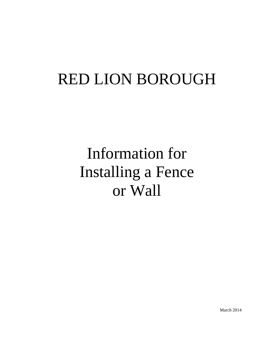## RED LION BOROUGH

# Information for Installing a Fence or Wall

March 2014